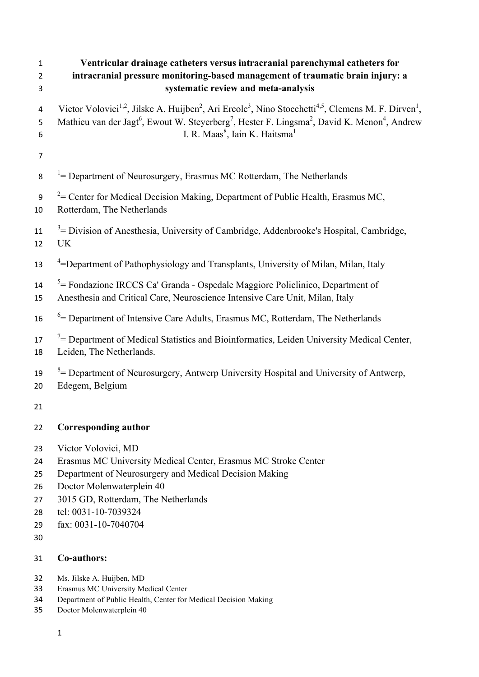| $\mathbf{1}$                                 | Ventricular drainage catheters versus intracranial parenchymal catheters for                                                                                                                                                                                        |  |  |  |
|----------------------------------------------|---------------------------------------------------------------------------------------------------------------------------------------------------------------------------------------------------------------------------------------------------------------------|--|--|--|
| $\overline{2}$                               | intracranial pressure monitoring-based management of traumatic brain injury: a                                                                                                                                                                                      |  |  |  |
| 3                                            | systematic review and meta-analysis                                                                                                                                                                                                                                 |  |  |  |
| $\overline{4}$                               | Victor Volovici <sup>1,2</sup> , Jilske A. Huijben <sup>2</sup> , Ari Ercole <sup>3</sup> , Nino Stocchetti <sup>4,5</sup> , Clemens M. F. Dirven <sup>1</sup> ,                                                                                                    |  |  |  |
| 5                                            | Mathieu van der Jagt <sup>6</sup> , Ewout W. Steyerberg <sup>7</sup> , Hester F. Lingsma <sup>2</sup> , David K. Menon <sup>4</sup> , Andrew                                                                                                                        |  |  |  |
| 6                                            | I. R. Maas <sup>8</sup> , Iain K. Haitsma <sup>1</sup>                                                                                                                                                                                                              |  |  |  |
| $\overline{7}$                               |                                                                                                                                                                                                                                                                     |  |  |  |
| 8                                            | $\mu$ = Department of Neurosurgery, Erasmus MC Rotterdam, The Netherlands                                                                                                                                                                                           |  |  |  |
| 9                                            | $2$ = Center for Medical Decision Making, Department of Public Health, Erasmus MC,                                                                                                                                                                                  |  |  |  |
| 10                                           | Rotterdam, The Netherlands                                                                                                                                                                                                                                          |  |  |  |
| 11                                           | <sup>3</sup> = Division of Anesthesia, University of Cambridge, Addenbrooke's Hospital, Cambridge,                                                                                                                                                                  |  |  |  |
| 12                                           | <b>UK</b>                                                                                                                                                                                                                                                           |  |  |  |
| 13                                           | <sup>4</sup> =Department of Pathophysiology and Transplants, University of Milan, Milan, Italy                                                                                                                                                                      |  |  |  |
| 14                                           | $5$ = Fondazione IRCCS Ca' Granda - Ospedale Maggiore Policlinico, Department of                                                                                                                                                                                    |  |  |  |
| 15                                           | Anesthesia and Critical Care, Neuroscience Intensive Care Unit, Milan, Italy                                                                                                                                                                                        |  |  |  |
| 16                                           | $6$ = Department of Intensive Care Adults, Erasmus MC, Rotterdam, The Netherlands                                                                                                                                                                                   |  |  |  |
| 17                                           | $7 =$ Department of Medical Statistics and Bioinformatics, Leiden University Medical Center,                                                                                                                                                                        |  |  |  |
| 18                                           | Leiden, The Netherlands.                                                                                                                                                                                                                                            |  |  |  |
| 19                                           | $8$ = Department of Neurosurgery, Antwerp University Hospital and University of Antwerp,                                                                                                                                                                            |  |  |  |
| 20                                           | Edegem, Belgium                                                                                                                                                                                                                                                     |  |  |  |
| 21                                           |                                                                                                                                                                                                                                                                     |  |  |  |
| 22                                           | <b>Corresponding author</b>                                                                                                                                                                                                                                         |  |  |  |
| 23<br>24<br>25<br>26<br>27<br>28<br>29<br>30 | Victor Volovici, MD<br>Erasmus MC University Medical Center, Erasmus MC Stroke Center<br>Department of Neurosurgery and Medical Decision Making<br>Doctor Molenwaterplein 40<br>3015 GD, Rotterdam, The Netherlands<br>tel: 0031-10-7039324<br>fax: 0031-10-7040704 |  |  |  |

#### **Co-authors:**

- Ms. Jilske A. Huijben, MD
- Erasmus MC University Medical Center
- Department of Public Health, Center for Medical Decision Making
- Doctor Molenwaterplein 40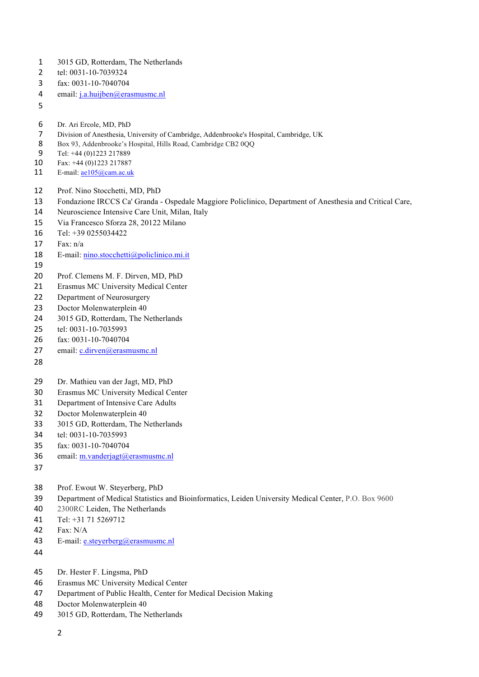- 3015 GD, Rotterdam, The Netherlands
- tel: 0031-10-7039324
- fax: 0031-10-7040704
- email: j.a.huijben@erasmusmc.nl
- 
- Dr. Ari Ercole, MD, PhD
- Division of Anesthesia, University of Cambridge, Addenbrooke's Hospital, Cambridge, UK
- 8 Box 93, Addenbrooke's Hospital, Hills Road, Cambridge CB2 0QQ
- Tel: +44 (0)1223 217889
- Fax: +44 (0)1223 217887
- 11 E-mail:  $\frac{ae105}{@cam.ac.uk}$
- Prof. Nino Stocchetti, MD, PhD
- Fondazione IRCCS Ca' Granda Ospedale Maggiore Policlinico, Department of Anesthesia and Critical Care,
- Neuroscience Intensive Care Unit, Milan, Italy
- Via Francesco Sforza 28, 20122 Milano
- Tel: +39 0255034422
- 17  $\qquad \qquad$  Fax:  $n/a$
- E-mail: nino.stocchetti@policlinico.mi.it
- 
- Prof. Clemens M. F. Dirven, MD, PhD
- Erasmus MC University Medical Center
- Department of Neurosurgery
- Doctor Molenwaterplein 40
- 3015 GD, Rotterdam, The Netherlands
- tel: 0031-10-7035993
- fax: 0031-10-7040704
- 27 email: c.dirven@erasmusmc.nl
- 
- Dr. Mathieu van der Jagt, MD, PhD
- Erasmus MC University Medical Center
- Department of Intensive Care Adults
- Doctor Molenwaterplein 40
- 3015 GD, Rotterdam, The Netherlands
- tel: 0031-10-7035993
- fax: 0031-10-7040704
- email: m.vanderjagt@erasmusmc.nl
- 
- Prof. Ewout W. Steyerberg, PhD
- Department of Medical Statistics and Bioinformatics, Leiden University Medical Center, P.O. Box 9600
- 2300RC Leiden, The Netherlands
- Tel: +31 71 5269712
- Fax: N/A
- E-mail: e.steyerberg@erasmusmc.nl
- 
- Dr. Hester F. Lingsma, PhD
- Erasmus MC University Medical Center
- Department of Public Health, Center for Medical Decision Making
- Doctor Molenwaterplein 40
- 3015 GD, Rotterdam, The Netherlands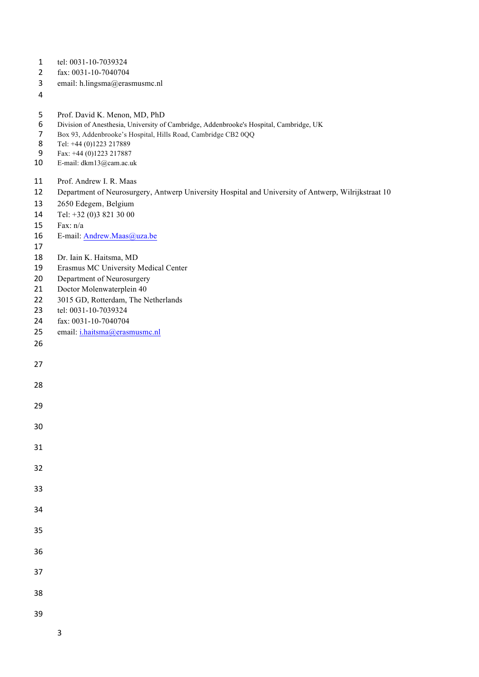| 1 |  | tel: 0031-10-7039324 |  |
|---|--|----------------------|--|
|   |  |                      |  |

- fax: 0031-10-7040704
- email: h.lingsma@erasmusmc.nl
- 
- Prof. David K. Menon, MD, PhD
- Division of Anesthesia, University of Cambridge, Addenbrooke's Hospital, Cambridge, UK
- Box 93, Addenbrooke's Hospital, Hills Road, Cambridge CB2 0QQ
- Tel: +44 (0)1223 217889
- Fax: +44 (0)1223 217887
- E-mail: dkm13@cam.ac.uk
- Prof. Andrew I. R. Maas
- Department of Neurosurgery, Antwerp University Hospital and University of Antwerp, Wilrijkstraat 10
- 2650 Edegem, Belgium
- Tel: +32 (0)3 821 30 00
- 15  $\qquad \qquad$  Fax:  $n/a$
- E-mail: Andrew.Maas@uza.be
- Dr. Iain K. Haitsma, MD
- Erasmus MC University Medical Center
- Department of Neurosurgery
- Doctor Molenwaterplein 40
- 3015 GD, Rotterdam, The Netherlands
- tel: 0031-10-7039324
- fax: 0031-10-7040704
- 25 email: i.haitsma@erasmusmc.nl
- 
- 
- 
- 
- 
- 
- 
- 
- 
- 
- 
- 
- 
- 
- 
- 
- 
- 
- 
-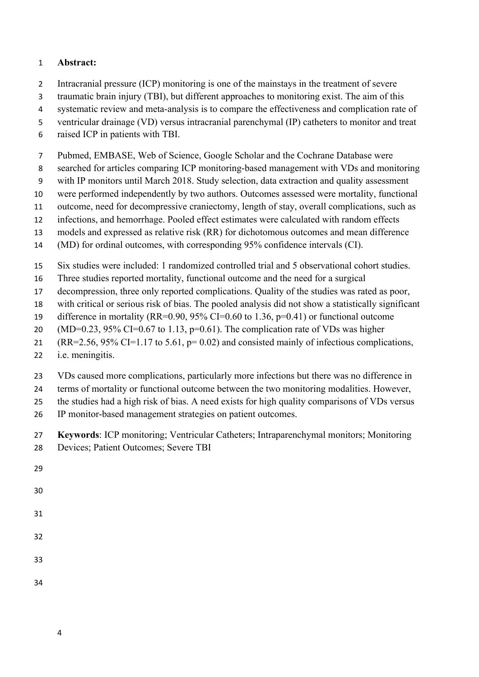## **Abstract:**

- Intracranial pressure (ICP) monitoring is one of the mainstays in the treatment of severe
- traumatic brain injury (TBI), but different approaches to monitoring exist. The aim of this
- systematic review and meta-analysis is to compare the effectiveness and complication rate of
- ventricular drainage (VD) versus intracranial parenchymal (IP) catheters to monitor and treat
- raised ICP in patients with TBI.
- Pubmed, EMBASE, Web of Science, Google Scholar and the Cochrane Database were
- searched for articles comparing ICP monitoring-based management with VDs and monitoring
- with IP monitors until March 2018. Study selection, data extraction and quality assessment
- were performed independently by two authors. Outcomes assessed were mortality, functional
- outcome, need for decompressive craniectomy, length of stay, overall complications, such as
- infections, and hemorrhage. Pooled effect estimates were calculated with random effects
- models and expressed as relative risk (RR) for dichotomous outcomes and mean difference
- (MD) for ordinal outcomes, with corresponding 95% confidence intervals (CI).
- Six studies were included: 1 randomized controlled trial and 5 observational cohort studies.
- Three studies reported mortality, functional outcome and the need for a surgical
- decompression, three only reported complications. Quality of the studies was rated as poor,
- with critical or serious risk of bias. The pooled analysis did not show a statistically significant
- difference in mortality (RR=0.90, 95% CI=0.60 to 1.36, p=0.41) or functional outcome
- 20 (MD=0.23, 95% CI=0.67 to 1.13, p=0.61). The complication rate of VDs was higher
- 21 (RR=2.56, 95% CI=1.17 to 5.61,  $p= 0.02$ ) and consisted mainly of infectious complications,
- i.e. meningitis.
- VDs caused more complications, particularly more infections but there was no difference in
- terms of mortality or functional outcome between the two monitoring modalities. However,
- the studies had a high risk of bias. A need exists for high quality comparisons of VDs versus
- IP monitor-based management strategies on patient outcomes.
- **Keywords**: ICP monitoring; Ventricular Catheters; Intraparenchymal monitors; Monitoring Devices; Patient Outcomes; Severe TBI
- 
- 
- 
- 
- 
-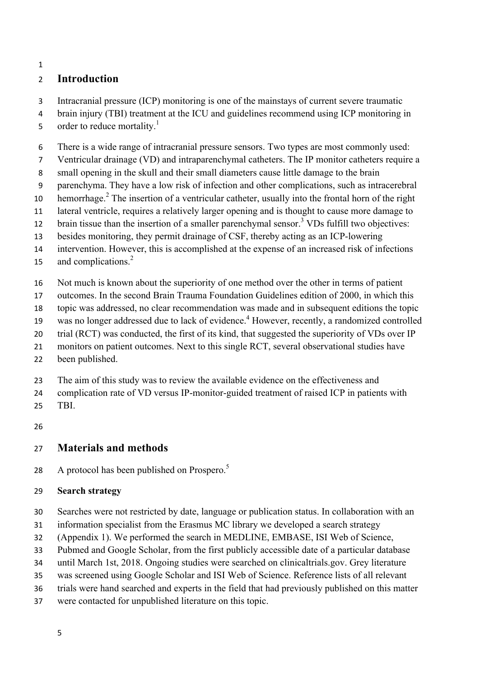### 

# **Introduction**

- Intracranial pressure (ICP) monitoring is one of the mainstays of current severe traumatic
- brain injury (TBI) treatment at the ICU and guidelines recommend using ICP monitoring in
- 5 order to reduce mortality.<sup>1</sup>
- There is a wide range of intracranial pressure sensors. Two types are most commonly used:
- Ventricular drainage (VD) and intraparenchymal catheters. The IP monitor catheters require a
- small opening in the skull and their small diameters cause little damage to the brain
- parenchyma. They have a low risk of infection and other complications, such as intracerebral
- 10 hemorrhage.<sup>2</sup> The insertion of a ventricular catheter, usually into the frontal horn of the right
- lateral ventricle, requires a relatively larger opening and is thought to cause more damage to
- 12 brain tissue than the insertion of a smaller parenchymal sensor.<sup>3</sup> VDs fulfill two objectives:
- besides monitoring, they permit drainage of CSF, thereby acting as an ICP-lowering
- intervention. However, this is accomplished at the expense of an increased risk of infections
- 15 and complications.<sup>2</sup>
- Not much is known about the superiority of one method over the other in terms of patient
- outcomes. In the second Brain Trauma Foundation Guidelines edition of 2000, in which this
- topic was addressed, no clear recommendation was made and in subsequent editions the topic
- 19 was no longer addressed due to lack of evidence.<sup>4</sup> However, recently, a randomized controlled
- trial (RCT) was conducted, the first of its kind, that suggested the superiority of VDs over IP
- monitors on patient outcomes. Next to this single RCT, several observational studies have
- been published.
- The aim of this study was to review the available evidence on the effectiveness and
- complication rate of VD versus IP-monitor-guided treatment of raised ICP in patients with
- TBI.
- 

# **Materials and methods**

28 A protocol has been published on Prospero.<sup>5</sup>

## **Search strategy**

- Searches were not restricted by date, language or publication status. In collaboration with an
- information specialist from the Erasmus MC library we developed a search strategy
- (Appendix 1). We performed the search in MEDLINE, EMBASE, ISI Web of Science,
- Pubmed and Google Scholar, from the first publicly accessible date of a particular database
- until March 1st, 2018. Ongoing studies were searched on clinicaltrials.gov. Grey literature
- was screened using Google Scholar and ISI Web of Science. Reference lists of all relevant
- trials were hand searched and experts in the field that had previously published on this matter
- were contacted for unpublished literature on this topic.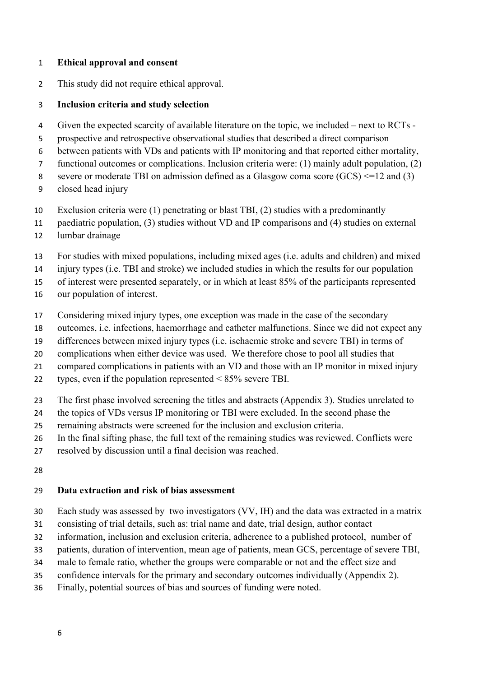#### **Ethical approval and consent**

This study did not require ethical approval.

### **Inclusion criteria and study selection**

- Given the expected scarcity of available literature on the topic, we included next to RCTs -
- prospective and retrospective observational studies that described a direct comparison
- between patients with VDs and patients with IP monitoring and that reported either mortality,
- functional outcomes or complications. Inclusion criteria were: (1) mainly adult population, (2)
- severe or moderate TBI on admission defined as a Glasgow coma score (GCS) <=12 and (3)
- closed head injury
- Exclusion criteria were (1) penetrating or blast TBI, (2) studies with a predominantly
- paediatric population, (3) studies without VD and IP comparisons and (4) studies on external
- lumbar drainage
- For studies with mixed populations, including mixed ages (i.e. adults and children) and mixed
- injury types (i.e. TBI and stroke) we included studies in which the results for our population

of interest were presented separately, or in which at least 85% of the participants represented

- our population of interest.
- Considering mixed injury types, one exception was made in the case of the secondary
- outcomes, i.e. infections, haemorrhage and catheter malfunctions. Since we did not expect any
- differences between mixed injury types (i.e. ischaemic stroke and severe TBI) in terms of
- complications when either device was used. We therefore chose to pool all studies that
- compared complications in patients with an VD and those with an IP monitor in mixed injury
- types, even if the population represented < 85% severe TBI.
- The first phase involved screening the titles and abstracts (Appendix 3). Studies unrelated to
- the topics of VDs versus IP monitoring or TBI were excluded. In the second phase the
- remaining abstracts were screened for the inclusion and exclusion criteria.
- In the final sifting phase, the full text of the remaining studies was reviewed. Conflicts were
- resolved by discussion until a final decision was reached.
- 

## **Data extraction and risk of bias assessment**

- Each study was assessed by two investigators (VV, IH) and the data was extracted in a matrix
- consisting of trial details, such as: trial name and date, trial design, author contact
- information, inclusion and exclusion criteria, adherence to a published protocol, number of
- patients, duration of intervention, mean age of patients, mean GCS, percentage of severe TBI,
- male to female ratio, whether the groups were comparable or not and the effect size and
- confidence intervals for the primary and secondary outcomes individually (Appendix 2).
- Finally, potential sources of bias and sources of funding were noted.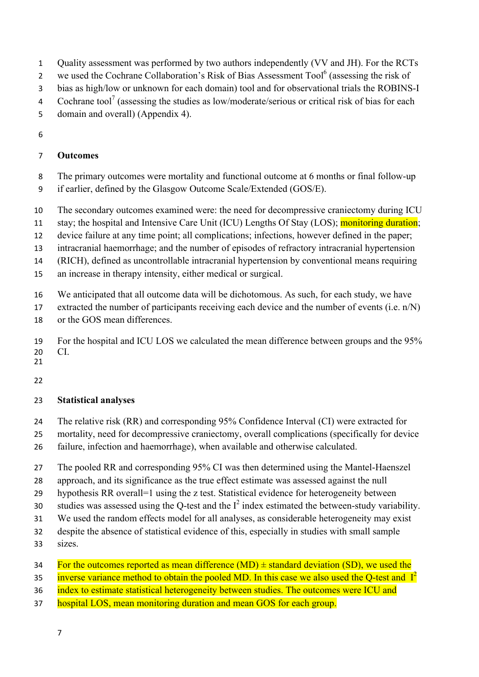- Quality assessment was performed by two authors independently (VV and JH). For the RCTs
- 2 we used the Cochrane Collaboration's Risk of Bias Assessment  $Tool<sup>6</sup>$  (assessing the risk of
- bias as high/low or unknown for each domain) tool and for observational trials the ROBINS-I
- 4 Cochrane tool<sup>7</sup> (assessing the studies as low/moderate/serious or critical risk of bias for each
- domain and overall) (Appendix 4).
- 

# **Outcomes**

- The primary outcomes were mortality and functional outcome at 6 months or final follow-up if earlier, defined by the Glasgow Outcome Scale/Extended (GOS/E).
- The secondary outcomes examined were: the need for decompressive craniectomy during ICU
- 11 stay; the hospital and Intensive Care Unit (ICU) Lengths Of Stay (LOS); monitoring duration;
- device failure at any time point; all complications; infections, however defined in the paper;
- intracranial haemorrhage; and the number of episodes of refractory intracranial hypertension
- (RICH), defined as uncontrollable intracranial hypertension by conventional means requiring
- an increase in therapy intensity, either medical or surgical.
- We anticipated that all outcome data will be dichotomous. As such, for each study, we have
- extracted the number of participants receiving each device and the number of events (i.e. n/N) or the GOS mean differences.
- For the hospital and ICU LOS we calculated the mean difference between groups and the 95% CI.
- 
- 

# **Statistical analyses**

- The relative risk (RR) and corresponding 95% Confidence Interval (CI) were extracted for
- mortality, need for decompressive craniectomy, overall complications (specifically for device
- failure, infection and haemorrhage), when available and otherwise calculated.
- The pooled RR and corresponding 95% CI was then determined using the Mantel-Haenszel
- approach, and its significance as the true effect estimate was assessed against the null
- hypothesis RR overall=1 using the z test. Statistical evidence for heterogeneity between
- studies was assessed using the O-test and the  $I^2$  index estimated the between-study variability.
- We used the random effects model for all analyses, as considerable heterogeneity may exist
- despite the absence of statistical evidence of this, especially in studies with small sample
- sizes.
- 34 For the outcomes reported as mean difference  $(MD) \pm$  standard deviation  $(SD)$ , we used the
- 35 inverse variance method to obtain the pooled MD. In this case we also used the O-test and  $I^2$
- 36 index to estimate statistical heterogeneity between studies. The outcomes were ICU and
- hospital LOS, mean monitoring duration and mean GOS for each group.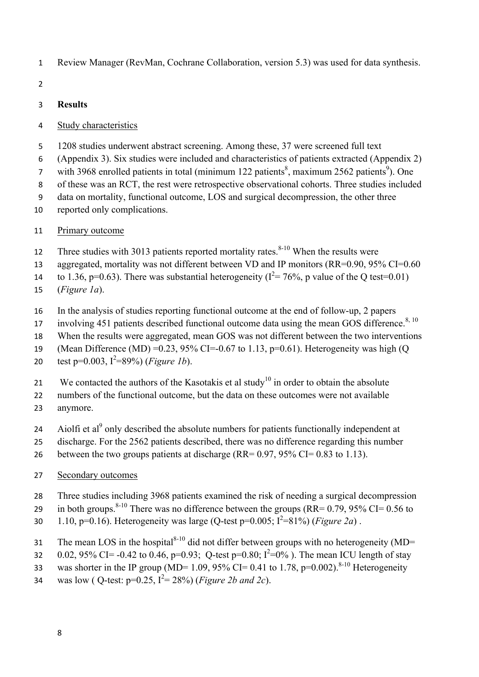- 1 Review Manager (RevMan, Cochrane Collaboration, version 5.3) was used for data synthesis.
- 2

### 3 **Results**

- 4 Study characteristics
- 5 1208 studies underwent abstract screening. Among these, 37 were screened full text
- 6 (Appendix 3). Six studies were included and characteristics of patients extracted (Appendix 2)
- 7 with 3968 enrolled patients in total (minimum 122 patients<sup>8</sup>, maximum 2562 patients<sup>9</sup>). One
- 8 of these was an RCT, the rest were retrospective observational cohorts. Three studies included
- 9 data on mortality, functional outcome, LOS and surgical decompression, the other three
- 10 reported only complications.
- 11 Primary outcome
- 12 Three studies with 3013 patients reported mortality rates.  $8-10$  When the results were
- 13 aggregated, mortality was not different between VD and IP monitors (RR=0.90, 95% CI=0.60
- 14 to 1.36, p=0.63). There was substantial heterogeneity ( $I^2 = 76\%$ , p value of the Q test=0.01)
- 15 (*Figure 1a*).
- 16 In the analysis of studies reporting functional outcome at the end of follow-up, 2 papers
- 17 involving 451 patients described functional outcome data using the mean GOS difference.<sup>8, 10</sup>
- 18 When the results were aggregated, mean GOS was not different between the two interventions
- 19 (Mean Difference (MD) =  $0.23$ ,  $95\%$  CI =  $-0.67$  to 1.13, p= $0.61$ ). Heterogeneity was high (Q
- 20 test p= $0.003$ ,  $I^2$ =89%) (*Figure 1b*).
- 21 We contacted the authors of the Kasotakis et al study<sup>10</sup> in order to obtain the absolute
- 22 numbers of the functional outcome, but the data on these outcomes were not available
- 23 anymore.
- 24 Aiolfi et al<sup>9</sup> only described the absolute numbers for patients functionally independent at
- 25 discharge. For the 2562 patients described, there was no difference regarding this number
- 26 between the two groups patients at discharge  $(RR= 0.97, 95\% \text{ CI} = 0.83 \text{ to } 1.13)$ .
- 27 Secondary outcomes
- 28 Three studies including 3968 patients examined the risk of needing a surgical decompression
- 29 in both groups. <sup>8-10</sup> There was no difference between the groups (RR= 0.79, 95% CI= 0.56 to
- 30 1.10, p=0.16). Heterogeneity was large (Q-test p=0.005;  $I^2$ =81%) (*Figure 2a*).
- The mean LOS in the hospital<sup>8-10</sup> did not differ between groups with no heterogeneity (MD=
- 32 0.02, 95% CI= -0.42 to 0.46, p=0.93; Q-test p=0.80;  $I^2=0\%$ ). The mean ICU length of stay
- 33 was shorter in the IP group (MD= 1.09, 95% CI= 0.41 to 1.78, p=0.002).<sup>8-10</sup> Heterogeneity
- 34 was low (  $Q$ -test:  $p=0.25$ ,  $I^2 = 28\%$ ) (*Figure 2b and 2c*).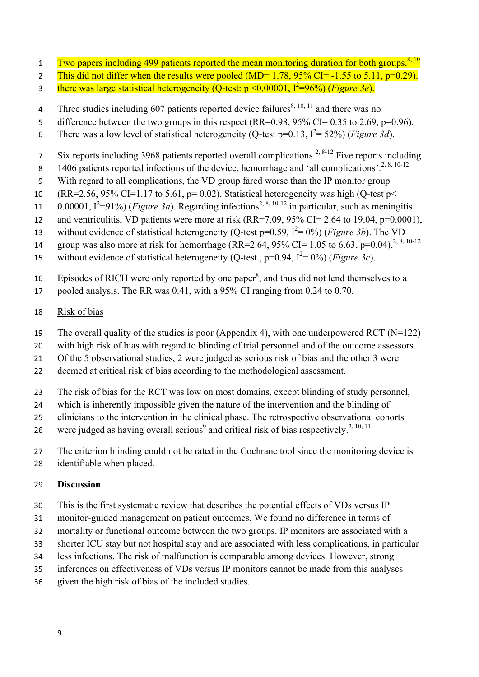- Two papers including 499 patients reported the mean monitoring duration for both groups.<sup>8, 10</sup>
- 2 This did not differ when the results were pooled (MD=  $1.78$ ,  $95\%$  CI=  $-1.55$  to  $5.11$ ,  $p=0.29$ ).
- there was large statistical heterogeneity (Q-test: p < 0.00001,  $I^2=96\%$ ) (*Figure 3e*).
- Three studies including 607 patients reported device failures<sup>8, 10, 11</sup> and there was no
- 5 difference between the two groups in this respect (RR=0.98, 95% CI= 0.35 to 2.69, p=0.96).
- 6 There was a low level of statistical heterogeneity (O-test p=0.13,  $I^2 = 52\%$ ) (*Figure 3d*).
- Six reports including 3968 patients reported overall complications.<sup>2, 8-12</sup> Five reports including
- 8 1406 patients reported infections of the device, hemorrhage and 'all complications'.<sup>2, 8, 10-12</sup>
- 9 With regard to all complications, the VD group fared worse than the IP monitor group
- 10 (RR=2.56, 95% CI=1.17 to 5.61,  $p= 0.02$ ). Statistical heterogeneity was high (O-test  $p<$
- 11  $0.00001$ ,  $I^2=91\%$ ) (*Figure 3a*). Regarding infections<sup>2, 8, 10-12</sup> in particular, such as meningitis
- 12 and ventriculitis, VD patients were more at risk (RR=7.09, 95% CI= 2.64 to 19.04, p=0.0001),
- 13 without evidence of statistical heterogeneity (O-test p=0.59,  $I^2 = 0\%$ ) (*Figure 3b*). The VD
- group was also more at risk for hemorrhage (RR=2.64, 95% CI= 1.05 to 6.63, p=0.04),<sup>2, 8, 10-12</sup>
- 15 without evidence of statistical heterogeneity (O-test,  $p=0.94$ ,  $I^2=0\%$ ) (*Figure 3c*).
- 16 Episodes of RICH were only reported by one paper<sup>8</sup>, and thus did not lend themselves to a
- 17 pooled analysis. The RR was 0.41, with a 95% CI ranging from 0.24 to 0.70.
- 18 Risk of bias
- 19 The overall quality of the studies is poor (Appendix 4), with one underpowered RCT ( $N=122$ )
- 20 with high risk of bias with regard to blinding of trial personnel and of the outcome assessors.
- 21 Of the 5 observational studies, 2 were judged as serious risk of bias and the other 3 were
- 22 deemed at critical risk of bias according to the methodological assessment.
- 23 The risk of bias for the RCT was low on most domains, except blinding of study personnel,
- 24 which is inherently impossible given the nature of the intervention and the blinding of
- 25 clinicians to the intervention in the clinical phase. The retrospective observational cohorts
- 26 were judged as having overall serious<sup>9</sup> and critical risk of bias respectively.<sup>2, 10, 11</sup>
- 27 The criterion blinding could not be rated in the Cochrane tool since the monitoring device is 28 identifiable when placed.

## 29 **Discussion**

- 30 This is the first systematic review that describes the potential effects of VDs versus IP
- 31 monitor-guided management on patient outcomes. We found no difference in terms of
- 32 mortality or functional outcome between the two groups. IP monitors are associated with a
- 33 shorter ICU stay but not hospital stay and are associated with less complications, in particular
- 34 less infections. The risk of malfunction is comparable among devices. However, strong
- 35 inferences on effectiveness of VDs versus IP monitors cannot be made from this analyses
- 36 given the high risk of bias of the included studies.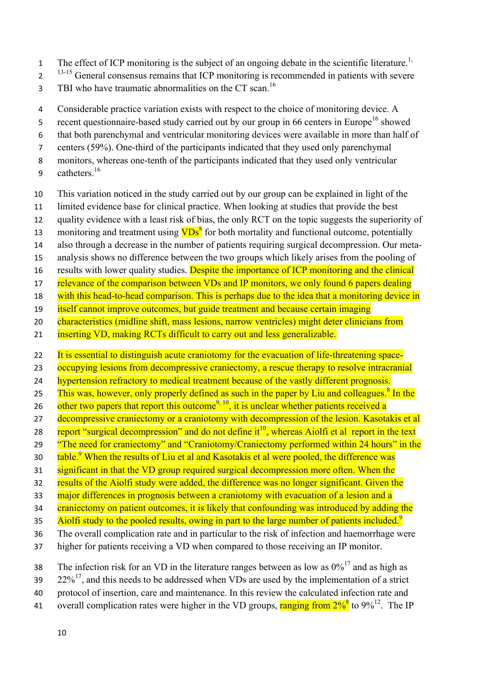- 1 The effect of ICP monitoring is the subject of an ongoing debate in the scientific literature.<sup>1,</sup>
- <sup>13-15</sup> General consensus remains that ICP monitoring is recommended in patients with severe
- 3 TBI who have traumatic abnormalities on the CT scan.<sup>16</sup>
- 4 Considerable practice variation exists with respect to the choice of monitoring device. A
- 5 recent questionnaire-based study carried out by our group in 66 centers in Europe<sup>16</sup> showed
- 6 that both parenchymal and ventricular monitoring devices were available in more than half of
- 7 centers (59%). One-third of the participants indicated that they used only parenchymal
- 8 monitors, whereas one-tenth of the participants indicated that they used only ventricular
- 9 catheters.<sup>16</sup>
- 10 This variation noticed in the study carried out by our group can be explained in light of the
- 11 limited evidence base for clinical practice. When looking at studies that provide the best
- 12 quality evidence with a least risk of bias, the only RCT on the topic suggests the superiority of
- nonitoring and treatment using  $<sup>8</sup>$  for both mortality and functional outcome, potentially</sup>
- 14 also through a decrease in the number of patients requiring surgical decompression. Our meta-
- 15 analysis shows no difference between the two groups which likely arises from the pooling of
- 16 results with lower quality studies. Despite the importance of ICP monitoring and the clinical
- 17 relevance of the comparison between VDs and IP monitors, we only found 6 papers dealing
- 18 with this head-to-head comparison. This is perhaps due to the idea that a monitoring device in
- 19 itself cannot improve outcomes, but guide treatment and because certain imaging
- 20 characteristics (midline shift, mass lesions, narrow ventricles) might deter clinicians from
- 21 inserting VD, making RCTs difficult to carry out and less generalizable.

22 It is essential to distinguish acute craniotomy for the evacuation of life-threatening space-

- 23 occupying lesions from decompressive craniectomy, a rescue therapy to resolve intracranial
- 24 hypertension refractory to medical treatment because of the vastly different prognosis.
- 25 This was, however, only properly defined as such in the paper by Liu and colleagues.<sup>8</sup> In the

26 other two papers that report this outcome<sup>9, 10</sup>, it is unclear whether patients received a

- 27 decompressive craniectomy or a craniotomy with decompression of the lesion. Kasotakis et al
- 28 report "surgical decompression" and do not define it<sup>10</sup>, whereas Aiolfi et al report in the text
- 29 "The need for craniectomy" and "Craniotomy/Craniectomy performed within 24 hours" in the
- 30 table.<sup>9</sup> When the results of Liu et al and Kasotakis et al were pooled, the difference was
- 31 significant in that the VD group required surgical decompression more often. When the
- 32 results of the Aiolfi study were added, the difference was no longer significant. Given the
- 33 major differences in prognosis between a craniotomy with evacuation of a lesion and a
- 34 craniectomy on patient outcomes, it is likely that confounding was introduced by adding the
- Aiolfi study to the pooled results, owing in part to the large number of patients included.<sup>9</sup>
- 36 The overall complication rate and in particular to the risk of infection and haemorrhage were
- 37 higher for patients receiving a VD when compared to those receiving an IP monitor.
- The infection risk for an VD in the literature ranges between as low as  $0\%^{17}$  and as high as
- $22\%^{17}$ , and this needs to be addressed when VDs are used by the implementation of a strict
- 40 protocol of insertion, care and maintenance. In this review the calculated infection rate and
- 41 overall complication rates were higher in the VD groups, ranging from  $2\frac{9}{8}$  to  $9\frac{12}{1}$ . The IP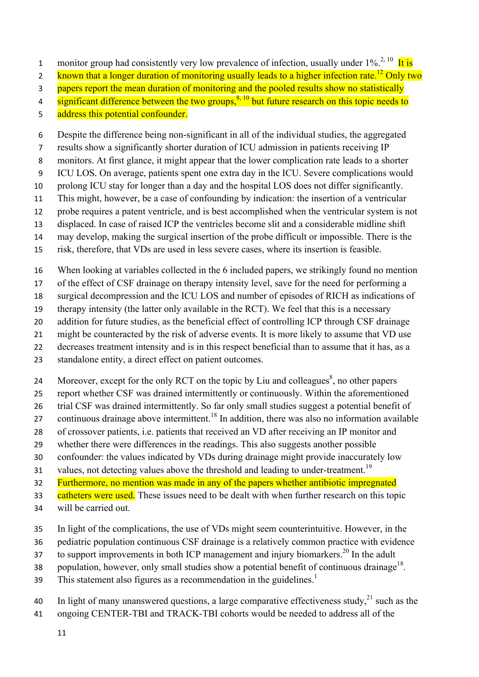- 1 monitor group had consistently very low prevalence of infection, usually under  $1\%^{2, 10}$  It is
- 2 known that a longer duration of monitoring usually leads to a higher infection rate.<sup>12</sup> Only two
- 3 papers report the mean duration of monitoring and the pooled results show no statistically
- 4 significant difference between the two groups,  $8,10$  but future research on this topic needs to
- 5 address this potential confounder.

Despite the difference being non-significant in all of the individual studies, the aggregated

- results show a significantly shorter duration of ICU admission in patients receiving IP
- monitors. At first glance, it might appear that the lower complication rate leads to a shorter
- ICU LOS. On average, patients spent one extra day in the ICU. Severe complications would
- prolong ICU stay for longer than a day and the hospital LOS does not differ significantly.
- This might, however, be a case of confounding by indication: the insertion of a ventricular
- probe requires a patent ventricle, and is best accomplished when the ventricular system is not
- displaced. In case of raised ICP the ventricles become slit and a considerable midline shift
- may develop, making the surgical insertion of the probe difficult or impossible. There is the
- risk, therefore, that VDs are used in less severe cases, where its insertion is feasible.

When looking at variables collected in the 6 included papers, we strikingly found no mention

- of the effect of CSF drainage on therapy intensity level, save for the need for performing a
- surgical decompression and the ICU LOS and number of episodes of RICH as indications of
- therapy intensity (the latter only available in the RCT). We feel that this is a necessary
- addition for future studies, as the beneficial effect of controlling ICP through CSF drainage
- might be counteracted by the risk of adverse events. It is more likely to assume that VD use
- decreases treatment intensity and is in this respect beneficial than to assume that it has, as a
- standalone entity, a direct effect on patient outcomes.
- 24 Moreover, except for the only RCT on the topic by Liu and colleagues<sup>8</sup>, no other papers
- report whether CSF was drained intermittently or continuously. Within the aforementioned
- trial CSF was drained intermittently. So far only small studies suggest a potential benefit of
- 27 continuous drainage above intermittent.<sup>18</sup> In addition, there was also no information available
- of crossover patients, i.e. patients that received an VD after receiving an IP monitor and
- whether there were differences in the readings. This also suggests another possible
- confounder: the values indicated by VDs during drainage might provide inaccurately low
- values, not detecting values above the threshold and leading to under-treatment.<sup>19</sup>
- 32 Furthermore, no mention was made in any of the papers whether antibiotic impregnated
- 33 catheters were used. These issues need to be dealt with when further research on this topic
- will be carried out.
- In light of the complications, the use of VDs might seem counterintuitive. However, in the
- pediatric population continuous CSF drainage is a relatively common practice with evidence
- 37 to support improvements in both ICP management and injury biomarkers.<sup>20</sup> In the adult
- 38 population, however, only small studies show a potential benefit of continuous drainage<sup>18</sup>.
- 39 This statement also figures as a recommendation in the guidelines.<sup>1</sup>
- 40 In light of many unanswered questions, a large comparative effectiveness study,  $2^{1}$  such as the
- ongoing CENTER-TBI and TRACK-TBI cohorts would be needed to address all of the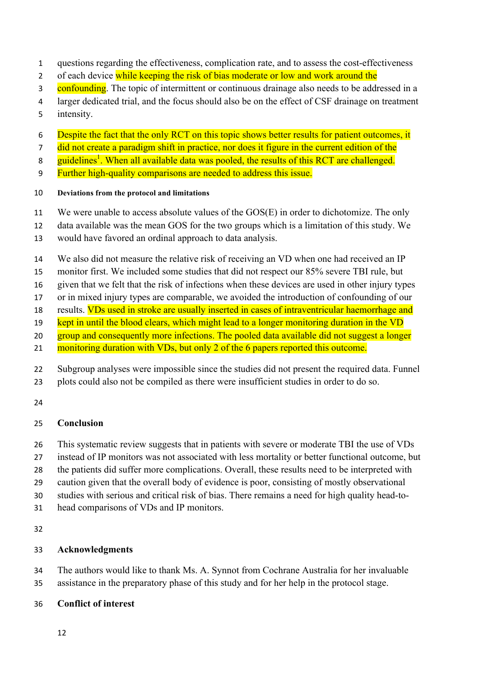- questions regarding the effectiveness, complication rate, and to assess the cost-effectiveness
- 2 of each device while keeping the risk of bias moderate or low and work around the
- 3 confounding. The topic of intermittent or continuous drainage also needs to be addressed in a
- larger dedicated trial, and the focus should also be on the effect of CSF drainage on treatment
- intensity.
- Despite the fact that the only RCT on this topic shows better results for patient outcomes, it
- 7 did not create a paradigm shift in practice, nor does it figure in the current edition of the
- 8 guidelines<sup>1</sup>. When all available data was pooled, the results of this RCT are challenged.
- Further high-quality comparisons are needed to address this issue.

#### **Deviations from the protocol and limitations**

- We were unable to access absolute values of the GOS(E) in order to dichotomize. The only
- data available was the mean GOS for the two groups which is a limitation of this study. We
- would have favored an ordinal approach to data analysis.
- We also did not measure the relative risk of receiving an VD when one had received an IP

monitor first. We included some studies that did not respect our 85% severe TBI rule, but

- given that we felt that the risk of infections when these devices are used in other injury types
- or in mixed injury types are comparable, we avoided the introduction of confounding of our
- results. VDs used in stroke are usually inserted in cases of intraventricular haemorrhage and
- 19 kept in until the blood clears, which might lead to a longer monitoring duration in the VD
- 20 group and consequently more infections. The pooled data available did not suggest a longer
- 21 monitoring duration with VDs, but only 2 of the 6 papers reported this outcome.
- Subgroup analyses were impossible since the studies did not present the required data. Funnel
- plots could also not be compiled as there were insufficient studies in order to do so.
- 

# **Conclusion**

- This systematic review suggests that in patients with severe or moderate TBI the use of VDs
- instead of IP monitors was not associated with less mortality or better functional outcome, but
- the patients did suffer more complications. Overall, these results need to be interpreted with
- caution given that the overall body of evidence is poor, consisting of mostly observational
- studies with serious and critical risk of bias. There remains a need for high quality head-to-
- head comparisons of VDs and IP monitors.

# **Acknowledgments**

 The authors would like to thank Ms. A. Synnot from Cochrane Australia for her invaluable assistance in the preparatory phase of this study and for her help in the protocol stage.

## **Conflict of interest**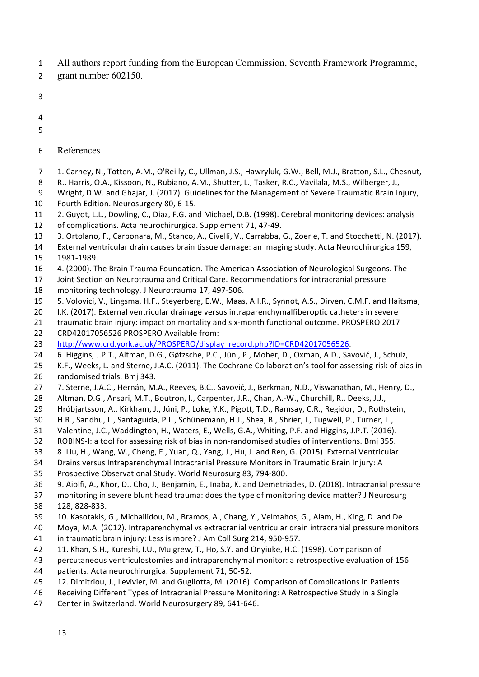- 1 All authors report funding from the European Commission, Seventh Framework Programme,
- 2 grant number 602150.
- 3
- 
- 4
- 5
- 6 References
- 7 1. Carney, N., Totten, A.M., O'Reilly, C., Ullman, J.S., Hawryluk, G.W., Bell, M.J., Bratton, S.L., Chesnut,
- 8 R., Harris, O.A., Kissoon, N., Rubiano, A.M., Shutter, L., Tasker, R.C., Vavilala, M.S., Wilberger, J.,
- 9 Wright, D.W. and Ghajar, J. (2017). Guidelines for the Management of Severe Traumatic Brain Injury, 10 Fourth Edition. Neurosurgery 80, 6-15.
- 11 2. Guyot, L.L., Dowling, C., Diaz, F.G. and Michael, D.B. (1998). Cerebral monitoring devices: analysis 12 of complications. Acta neurochirurgica. Supplement 71, 47-49.
- 13 3. Ortolano, F., Carbonara, M., Stanco, A., Civelli, V., Carrabba, G., Zoerle, T. and Stocchetti, N. (2017).
- 14 External ventricular drain causes brain tissue damage: an imaging study. Acta Neurochirurgica 159,
- 15 1981-1989.
- 16 4. (2000). The Brain Trauma Foundation. The American Association of Neurological Surgeons. The
- 17 Joint Section on Neurotrauma and Critical Care. Recommendations for intracranial pressure
- 18 monitoring technology. J Neurotrauma 17, 497-506.
- 19 5. Volovici, V., Lingsma, H.F., Steyerberg, E.W., Maas, A.I.R., Synnot, A.S., Dirven, C.M.F. and Haitsma,
- 20 I.K. (2017). External ventricular drainage versus intraparenchymalfiberoptic catheters in severe
- 21 traumatic brain injury: impact on mortality and six-month functional outcome. PROSPERO 2017
- 22 CRD42017056526 PROSPERO Available from:
- 23 http://www.crd.york.ac.uk/PROSPERO/display\_record.php?ID=CRD42017056526.
- 24 6. Higgins, J.P.T., Altman, D.G., Gøtzsche, P.C., Jüni, P., Moher, D., Oxman, A.D., Savović, J., Schulz,
- 25 K.F., Weeks, L. and Sterne, J.A.C. (2011). The Cochrane Collaboration's tool for assessing risk of bias in 26 randomised trials. Bmj 343.
- 27 7. Sterne, J.A.C., Hernán, M.A., Reeves, B.C., Savović, J., Berkman, N.D., Viswanathan, M., Henry, D.,
- 28 Altman, D.G., Ansari, M.T., Boutron, I., Carpenter, J.R., Chan, A.-W., Churchill, R., Deeks, J.J.,
- 29 Hróbjartsson, A., Kirkham, J., Jüni, P., Loke, Y.K., Pigott, T.D., Ramsay, C.R., Regidor, D., Rothstein,
- 30 H.R., Sandhu, L., Santaguida, P.L., Schünemann, H.J., Shea, B., Shrier, I., Tugwell, P., Turner, L.,
- 31 Valentine, J.C., Waddington, H., Waters, E., Wells, G.A., Whiting, P.F. and Higgins, J.P.T. (2016).
- 32 ROBINS-I: a tool for assessing risk of bias in non-randomised studies of interventions. Bmj 355.
- 33 8. Liu, H., Wang, W., Cheng, F., Yuan, Q., Yang, J., Hu, J. and Ren, G. (2015). External Ventricular
- 34 Drains versus Intraparenchymal Intracranial Pressure Monitors in Traumatic Brain Injury: A
- 35 Prospective Observational Study. World Neurosurg 83, 794-800.
- 36 9. Aiolfi, A., Khor, D., Cho, J., Benjamin, E., Inaba, K. and Demetriades, D. (2018). Intracranial pressure
- 37 monitoring in severe blunt head trauma: does the type of monitoring device matter? J Neurosurg 38 128, 828-833.
- 39 10. Kasotakis, G., Michailidou, M., Bramos, A., Chang, Y., Velmahos, G., Alam, H., King, D. and De
- 40 Moya, M.A. (2012). Intraparenchymal vs extracranial ventricular drain intracranial pressure monitors 41 in traumatic brain injury: Less is more? J Am Coll Surg 214, 950-957.
- 42 11. Khan, S.H., Kureshi, I.U., Mulgrew, T., Ho, S.Y. and Onyiuke, H.C. (1998). Comparison of
- 43 percutaneous ventriculostomies and intraparenchymal monitor: a retrospective evaluation of 156
- 44 patients. Acta neurochirurgica. Supplement 71, 50-52.
- 45 12. Dimitriou, J., Levivier, M. and Gugliotta, M. (2016). Comparison of Complications in Patients
- 46 Receiving Different Types of Intracranial Pressure Monitoring: A Retrospective Study in a Single
- 47 Center in Switzerland. World Neurosurgery 89, 641-646.